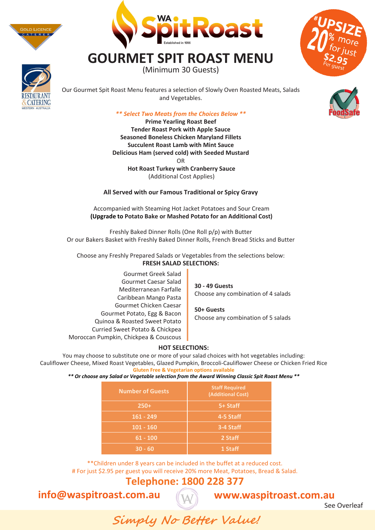



# **GOURMET SPIT ROAST MENU**

(Minimum 30 Guests)



Our Gourmet Spit Roast Menu features a selection of Slowly Oven Roasted Meats, Salads and Vegetables.

#### *\*\* Select Two Meats from the Choices Below \*\**

**Prime Yearling Roast Beef Tender Roast Pork with Apple Sauce Seasoned Boneless Chicken Maryland Fillets Succulent Roast Lamb with Mint Sauce Delicious Ham (served cold) with Seeded Mustard** OR **Hot Roast Turkey with Cranberry Sauce** (Additional Cost Applies)

**All Served with our Famous Traditional or Spicy Gravy**

Accompanied with Steaming Hot Jacket Potatoes and Sour Cream **(Upgrade to Potato Bake or Mashed Potato for an Additional Cost)**

Freshly Baked Dinner Rolls (One Roll p/p) with Butter Or our Bakers Basket with Freshly Baked Dinner Rolls, French Bread Sticks and Butter

Choose any Freshly Prepared Salads or Vegetables from the selections below: **FRESH SALAD SELECTIONS:**

Gourmet Greek Salad with Quinoa & Kale Gourmet Caesar Salad Mediterranean Farfalle Gourmet Chicken Caesar Gourmet Potato, Egg & Bacon Quinoa & Roasted Sweet Potato Curried Sweet Potato & Chickpea Caribbean Chicken Mango Pasta Moroccan Pumpkin, Chickpea & Couscous

**30 - 49 Guests** Choose any combination of 4 salads

**50+ Guests** Choose any combination of 5 salads

#### **HOT SELECTIONS:**

You may choose to substitute one or more of your salad choices with hot vegetables including: Cauliflower Cheese, Glazed Pumpkin, Broccoli-Cauliflower Cheese or Chicken Fried Rice **Gluten Free & Vegetarian options available**

*\*\* Or choose any Salad or Vegetable selection from the Award Winning Classic Spit Roast Menu \*\** 

| <b>Number of Guests</b> | <b>Staff Required</b><br>(Additional Cost) |
|-------------------------|--------------------------------------------|
| $250+$                  | 5+ Staff                                   |
| $161 - 249$             | 4-5 Staff                                  |
| $101 - 160$             | 3-4 Staff                                  |
| $61 - 100$              | 2 Staff                                    |
| $30 - 60$               | 1 Staff                                    |

\*\*Children under 8 years can be included in the buffet at a reduced cost. # For just \$4.95 per guest you will receive 20% more Meat, Potatoes, Bread & Salad.

### **Telephone: 1800 228 377**

**info@waspitroast.com.au** 

## **www.waspitroast.com.au**

**Simply No Better Value!**

See Overleaf